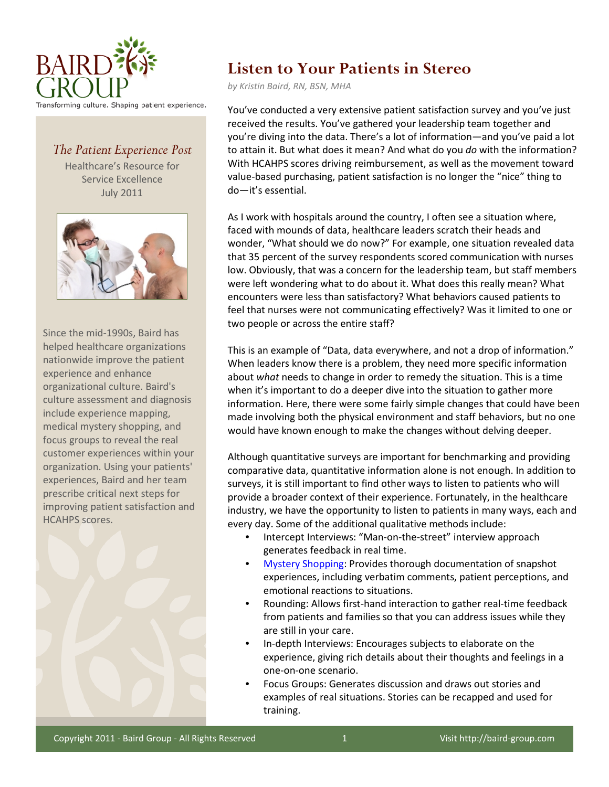

## *The Patient Experience Post*

Healthcare's Resource for Service Excellence July 2011



Since the mid-1990s, Baird has helped healthcare organizations nationwide improve the patient experience and enhance organizational culture. Baird's culture assessment and diagnosis include experience mapping, medical mystery shopping, and focus groups to reveal the real customer experiences within your organization. Using your patients' experiences, Baird and her team prescribe critical next steps for improving patient satisfaction and HCAHPS scores.



## **Listen to Your Patients in Stereo**

*by Kristin Baird, RN, BSN, MHA*

You've conducted a very extensive patient satisfaction survey and you've just received the results. You've gathered your leadership team together and you're diving into the data. There's a lot of information—and you've paid a lot to attain it. But what does it mean? And what do you *do* with the information? With HCAHPS scores driving reimbursement, as well as the movement toward value-based purchasing, patient satisfaction is no longer the "nice" thing to do—it's essential.

As I work with hospitals around the country, I often see a situation where, faced with mounds of data, healthcare leaders scratch their heads and wonder, "What should we do now?" For example, one situation revealed data that 35 percent of the survey respondents scored communication with nurses low. Obviously, that was a concern for the leadership team, but staff members were left wondering what to do about it. What does this really mean? What encounters were less than satisfactory? What behaviors caused patients to feel that nurses were not communicating effectively? Was it limited to one or two people or across the entire staff?

This is an example of "Data, data everywhere, and not a drop of information." When leaders know there is a problem, they need more specific information about *what* needs to change in order to remedy the situation. This is a time when it's important to do a deeper dive into the situation to gather more information. Here, there were some fairly simple changes that could have been made involving both the physical environment and staff behaviors, but no one would have known enough to make the changes without delving deeper.

Although quantitative surveys are important for benchmarking and providing comparative data, quantitative information alone is not enough. In addition to surveys, it is still important to find other ways to listen to patients who will provide a broader context of their experience. Fortunately, in the healthcare industry, we have the opportunity to listen to patients in many ways, each and every day. Some of the additional qualitative methods include:

- Intercept Interviews: "Man-on-the-street" interview approach generates feedback in real time.
- [Mystery Shopping:](http://baird-group.com/mystery-shopping) Provides thorough documentation of snapshot experiences, including verbatim comments, patient perceptions, and emotional reactions to situations.
- Rounding: Allows first-hand interaction to gather real-time feedback from patients and families so that you can address issues while they are still in your care.
- In-depth Interviews: Encourages subjects to elaborate on the experience, giving rich details about their thoughts and feelings in a one-on-one scenario.
- Focus Groups: Generates discussion and draws out stories and examples of real situations. Stories can be recapped and used for training.